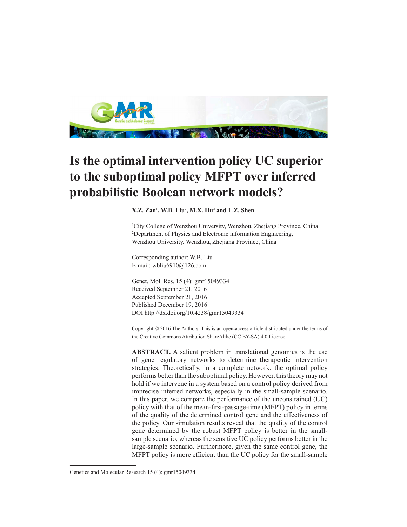

## **Is the optimal intervention policy UC superior to the suboptimal policy MFPT over inferred probabilistic Boolean network models?**

**X.Z. Zan1 , W.B. Liu2 , M.X. Hu2 and L.Z. Shen1**

1 City College of Wenzhou University, Wenzhou, Zhejiang Province, China 2 Department of Physics and Electronic information Engineering, Wenzhou University, Wenzhou, Zhejiang Province, China

Corresponding author: W.B. Liu E-mail: wbliu6910@126.com

Genet. Mol. Res. 15 (4): gmr15049334 Received September 21, 2016 Accepted September 21, 2016 Published December 19, 2016 DOI http://dx.doi.org/10.4238/gmr15049334

Copyright © 2016 The Authors. This is an open-access article distributed under the terms of the Creative Commons Attribution ShareAlike (CC BY-SA) 4.0 License.

**ABSTRACT.** A salient problem in translational genomics is the use of gene regulatory networks to determine therapeutic intervention strategies. Theoretically, in a complete network, the optimal policy performs better than the suboptimal policy. However, this theory may not hold if we intervene in a system based on a control policy derived from imprecise inferred networks, especially in the small-sample scenario. In this paper, we compare the performance of the unconstrained (UC) policy with that of the mean-first-passage-time (MFPT) policy in terms of the quality of the determined control gene and the effectiveness of the policy. Our simulation results reveal that the quality of the control gene determined by the robust MFPT policy is better in the smallsample scenario, whereas the sensitive UC policy performs better in the large-sample scenario. Furthermore, given the same control gene, the MFPT policy is more efficient than the UC policy for the small-sample

Genetics and Molecular Research 15 (4): gmr15049334